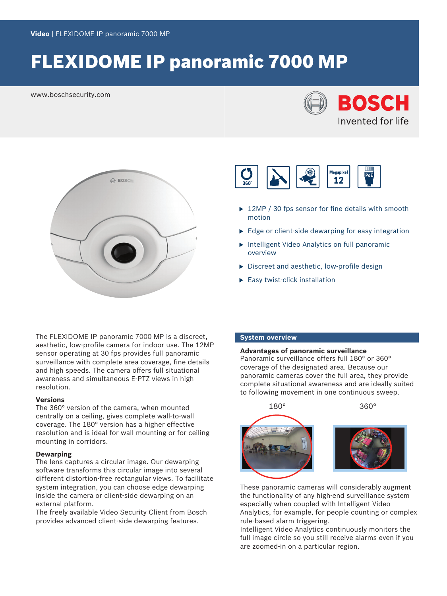# FLEXIDOME IP panoramic 7000 MP

www.boschsecurity.com







- $\blacktriangleright$  12MP / 30 fps sensor for fine details with smooth motion
- $\blacktriangleright$  Edge or client-side dewarping for easy integration
- $\blacktriangleright$  Intelligent Video Analytics on full panoramic overview
- $\triangleright$  Discreet and aesthetic, low-profile design
- $\blacktriangleright$  Easy twist-click installation

The FLEXIDOME IP panoramic 7000 MP is a discreet, aesthetic, low-profile camera for indoor use. The 12MP sensor operating at 30 fps provides full panoramic surveillance with complete area coverage, fine details and high speeds. The camera offers full situational awareness and simultaneous E-PTZ views in high resolution.

#### **Versions**

The 360° version of the camera, when mounted centrally on a ceiling, gives complete wall-to-wall coverage. The 180° version has a higher effective resolution and is ideal for wall mounting or for ceiling mounting in corridors.

#### **Dewarping**

The lens captures a circular image. Our dewarping software transforms this circular image into several different distortion-free rectangular views. To facilitate system integration, you can choose edge dewarping inside the camera or client-side dewarping on an external platform.

The freely available Video Security Client from Bosch provides advanced client-side dewarping features.

#### **System overview**

**Advantages of panoramic surveillance** Panoramic surveillance offers full 180° or 360° coverage of the designated area. Because our panoramic cameras cover the full area, they provide

complete situational awareness and are ideally suited



These panoramic cameras will considerably augment the functionality of any high-end surveillance system especially when coupled with Intelligent Video Analytics, for example, for people counting or complex rule-based alarm triggering.

Intelligent Video Analytics continuously monitors the full image circle so you still receive alarms even if you are zoomed-in on a particular region.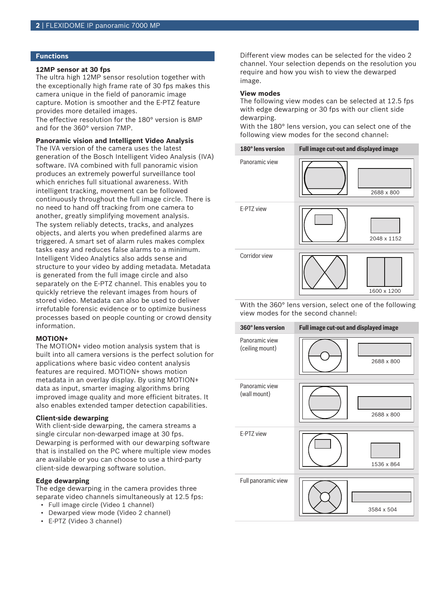#### **Functions**

#### **12MP sensor at 30 fps**

The ultra high 12MP sensor resolution together with the exceptionally high frame rate of 30 fps makes this camera unique in the field of panoramic image capture. Motion is smoother and the E‑PTZ feature provides more detailed images.

The effective resolution for the 180° version is 8MP and for the 360° version 7MP.

**Panoramic vision and Intelligent Video Analysis**

The IVA version of the camera uses the latest generation of the Bosch Intelligent Video Analysis (IVA) software. IVA combined with full panoramic vision produces an extremely powerful surveillance tool which enriches full situational awareness. With intelligent tracking, movement can be followed continuously throughout the full image circle. There is no need to hand off tracking from one camera to another, greatly simplifying movement analysis. The system reliably detects, tracks, and analyzes objects, and alerts you when predefined alarms are triggered. A smart set of alarm rules makes complex tasks easy and reduces false alarms to a minimum. Intelligent Video Analytics also adds sense and structure to your video by adding metadata. Metadata is generated from the full image circle and also separately on the E-PTZ channel. This enables you to quickly retrieve the relevant images from hours of stored video. Metadata can also be used to deliver irrefutable forensic evidence or to optimize business processes based on people counting or crowd density information.

#### **MOTION+**

The MOTION+ video motion analysis system that is built into all camera versions is the perfect solution for applications where basic video content analysis features are required. MOTION+ shows motion metadata in an overlay display. By using MOTION+ data as input, smarter imaging algorithms bring improved image quality and more efficient bitrates. It also enables extended tamper detection capabilities.

#### **Client-side dewarping**

With client-side dewarping, the camera streams a single circular non-dewarped image at 30 fps. Dewarping is performed with our dewarping software that is installed on the PC where multiple view modes are available or you can choose to use a third-party client-side dewarping software solution.

#### **Edge dewarping**

The edge dewarping in the camera provides three separate video channels simultaneously at 12.5 fps:

- Full image circle (Video 1 channel)
- Dewarped view mode (Video 2 channel)
- E-PTZ (Video 3 channel)

Different view modes can be selected for the video 2 channel. Your selection depends on the resolution you require and how you wish to view the dewarped image.

#### **View modes**

The following view modes can be selected at 12.5 fps with edge dewarping or 30 fps with our client side dewarping.

With the 180° lens version, you can select one of the following view modes for the second channel:



With the 360° lens version, select one of the following view modes for the second channel:

| 360° lens version                 | Full image cut-out and displayed image |
|-----------------------------------|----------------------------------------|
| Panoramic view<br>(ceiling mount) | 2688 x 800                             |
| Panoramic view<br>(wall mount)    | 2688 x 800                             |
| E-PTZ view                        | 1536 x 864                             |
| Full panoramic view               | 3584 x 504                             |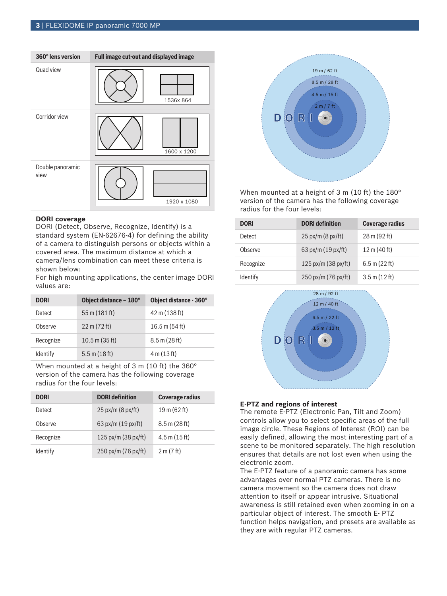

#### **DORI coverage**

DORI (Detect, Observe, Recognize, Identify) is a standard system (EN-62676-4) for defining the ability of a camera to distinguish persons or objects within a covered area. The maximum distance at which a camera/lens combination can meet these criteria is shown below:

For high mounting applications, the center image DORI values are:

| <b>DORI</b> | Object distance - 180°         | Object distance - 360°   |
|-------------|--------------------------------|--------------------------|
| Detect      | 55 m (181 ft)                  | 42 m (138 ft)            |
| Observe     | $22 \text{ m} (72 \text{ ft})$ | $16.5 \text{ m}$ (54 ft) |
| Recognize   | $10.5$ m (35 ft)               | $8.5 \text{ m}$ (28 ft)  |
| Identify    | $5.5 \text{ m}$ (18 ft)        | 4 m (13 ft)              |

When mounted at a height of 3 m (10 ft) the 360° version of the camera has the following coverage radius for the four levels:

| <b>DORI</b> | <b>DORI</b> definition       | <b>Coverage radius</b>          |
|-------------|------------------------------|---------------------------------|
| Detect      | $25 \text{ px/m}$ (8 px/ft)  | $19 \text{ m}$ (62 ft)          |
| Observe     | 63 px/m $(19 \text{ px/ft})$ | $8.5 \text{ m}$ (28 ft)         |
| Recognize   | 125 px/m (38 px/ft)          | $4.5 \text{ m} (15 \text{ ft})$ |
| Identify    | 250 px/m (76 px/ft)          | 2 m (7 ft)                      |



When mounted at a height of 3 m (10 ft) the 180° version of the camera has the following coverage radius for the four levels:

| <b>DORI</b>     | <b>DORI</b> definition                | <b>Coverage radius</b>          |
|-----------------|---------------------------------------|---------------------------------|
| Detect          | $25 \text{ px/m} (8 \text{ px/ft})$   | $28 \text{ m} (92 \text{ ft})$  |
| Observe         | 63 px/m $(19 \text{ px/ft})$          | 12 m (40 ft)                    |
| Recognize       | $125 \text{ px/m} (38 \text{ px/ft})$ | 6.5 m (22 ft)                   |
| <b>Identify</b> | $250 \text{ px/m}$ (76 px/ft)         | $3.5 \text{ m} (12 \text{ ft})$ |



#### **E-PTZ and regions of interest**

The remote E-PTZ (Electronic Pan, Tilt and Zoom) controls allow you to select specific areas of the full image circle. These Regions of Interest (ROI) can be easily defined, allowing the most interesting part of a scene to be monitored separately. The high resolution ensures that details are not lost even when using the electronic zoom.

The E-PTZ feature of a panoramic camera has some advantages over normal PTZ cameras. There is no camera movement so the camera does not draw attention to itself or appear intrusive. Situational awareness is still retained even when zooming in on a particular object of interest. The smooth E- PTZ function helps navigation, and presets are available as they are with regular PTZ cameras.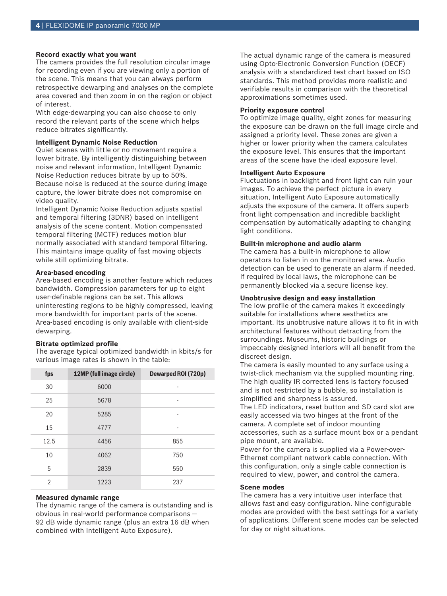#### **Record exactly what you want**

The camera provides the full resolution circular image for recording even if you are viewing only a portion of the scene. This means that you can always perform retrospective dewarping and analyses on the complete area covered and then zoom in on the region or object of interest.

With edge-dewarping you can also choose to only record the relevant parts of the scene which helps reduce bitrates significantly.

#### **Intelligent Dynamic Noise Reduction**

Quiet scenes with little or no movement require a lower bitrate. By intelligently distinguishing between noise and relevant information, Intelligent Dynamic Noise Reduction reduces bitrate by up to 50%. Because noise is reduced at the source during image capture, the lower bitrate does not compromise on video quality.

Intelligent Dynamic Noise Reduction adjusts spatial and temporal filtering (3DNR) based on intelligent analysis of the scene content. Motion compensated temporal filtering (MCTF) reduces motion blur normally associated with standard temporal filtering. This maintains image quality of fast moving objects while still optimizing bitrate.

#### **Area-based encoding**

Area-based encoding is another feature which reduces bandwidth. Compression parameters for up to eight user-definable regions can be set. This allows uninteresting regions to be highly compressed, leaving more bandwidth for important parts of the scene. Area-based encoding is only available with client-side dewarping.

#### **Bitrate optimized profile**

The average typical optimized bandwidth in kbits/s for various image rates is shown in the table:

| fps            | 12MP (full image circle) | <b>Dewarped ROI (720p)</b> |
|----------------|--------------------------|----------------------------|
| 30             | 6000                     | ٠                          |
| 25             | 5678                     | ٠                          |
| 20             | 5285                     | $\overline{a}$             |
| 15             | 4777                     | ٠                          |
| 12.5           | 4456                     | 855                        |
| 10             | 4062                     | 750                        |
| 5              | 2839                     | 550                        |
| $\mathfrak{D}$ | 1223                     | 237                        |

#### **Measured dynamic range**

The dynamic range of the camera is outstanding and is obvious in real-world performance comparisons — 92 dB wide dynamic range (plus an extra 16 dB when combined with Intelligent Auto Exposure).

The actual dynamic range of the camera is measured using Opto-Electronic Conversion Function (OECF) analysis with a standardized test chart based on ISO standards. This method provides more realistic and verifiable results in comparison with the theoretical approximations sometimes used.

#### **Priority exposure control**

To optimize image quality, eight zones for measuring the exposure can be drawn on the full image circle and assigned a priority level. These zones are given a higher or lower priority when the camera calculates the exposure level. This ensures that the important areas of the scene have the ideal exposure level.

#### **Intelligent Auto Exposure**

Fluctuations in backlight and front light can ruin your images. To achieve the perfect picture in every situation, Intelligent Auto Exposure automatically adjusts the exposure of the camera. It offers superb front light compensation and incredible backlight compensation by automatically adapting to changing light conditions.

#### **Built-in microphone and audio alarm**

The camera has a built-in microphone to allow operators to listen in on the monitored area. Audio detection can be used to generate an alarm if needed. If required by local laws, the microphone can be permanently blocked via a secure license key.

#### **Unobtrusive design and easy installation**

The low profile of the camera makes it exceedingly suitable for installations where aesthetics are important. Its unobtrusive nature allows it to fit in with architectural features without detracting from the surroundings. Museums, historic buildings or impeccably designed interiors will all benefit from the discreet design.

The camera is easily mounted to any surface using a twist-click mechanism via the supplied mounting ring. The high quality IR corrected lens is factory focused and is not restricted by a bubble, so installation is simplified and sharpness is assured.

The LED indicators, reset button and SD card slot are easily accessed via two hinges at the front of the camera. A complete set of indoor mounting accessories, such as a surface mount box or a pendant pipe mount, are available.

Power for the camera is supplied via a Power-over-Ethernet compliant network cable connection. With this configuration, only a single cable connection is required to view, power, and control the camera.

#### **Scene modes**

The camera has a very intuitive user interface that allows fast and easy configuration. Nine configurable modes are provided with the best settings for a variety of applications. Different scene modes can be selected for day or night situations.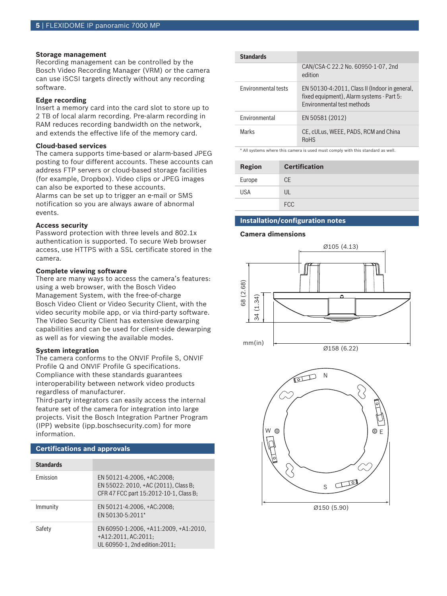#### **Storage management**

Recording management can be controlled by the Bosch Video Recording Manager (VRM) or the camera can use iSCSI targets directly without any recording software.

#### **Edge recording**

Insert a memory card into the card slot to store up to 2 TB of local alarm recording. Pre-alarm recording in RAM reduces recording bandwidth on the network, and extends the effective life of the memory card.

#### **Cloud-based services**

The camera supports time-based or alarm-based JPEG posting to four different accounts. These accounts can address FTP servers or cloud-based storage facilities (for example, Dropbox). Video clips or JPEG images can also be exported to these accounts.

Alarms can be set up to trigger an e-mail or SMS notification so you are always aware of abnormal events.

#### **Access security**

Password protection with three levels and 802.1x authentication is supported. To secure Web browser access, use HTTPS with a SSL certificate stored in the camera.

#### **Complete viewing software**

There are many ways to access the camera's features: using a web browser, with the Bosch Video Management System, with the free-of-charge Bosch Video Client or Video Security Client, with the video security mobile app, or via third-party software. The Video Security Client has extensive dewarping capabilities and can be used for client-side dewarping as well as for viewing the available modes.

#### **System integration**

The camera conforms to the ONVIF Profile S, ONVIF Profile Q and ONVIF Profile G specifications. Compliance with these standards guarantees interoperability between network video products regardless of manufacturer.

Third-party integrators can easily access the internal feature set of the camera for integration into large projects. Visit the Bosch Integration Partner Program (IPP) website (ipp.boschsecurity.com) for more information.

#### **Certifications and approvals**

| <b>Standards</b> |                                                                                                              |
|------------------|--------------------------------------------------------------------------------------------------------------|
| <b>Fmission</b>  | EN 50121-4:2006, +AC:2008;<br>EN 55022: 2010, +AC (2011), Class B;<br>CFR 47 FCC part 15:2012-10-1, Class B; |
| Immunity         | EN 50121-4:2006, +AC:2008;<br>EN 50130-5:2011*                                                               |
| Safety           | EN 60950-1:2006, +A11:2009, +A1:2010,<br>$+A12:2011, AC:2011;$<br>UL 60950-1, 2nd edition: 2011;             |

| <b>Standards</b>           |                                                                                                                          |
|----------------------------|--------------------------------------------------------------------------------------------------------------------------|
|                            | CAN/CSA-C 22.2 No. 60950-1-07, 2nd<br>edition                                                                            |
| <b>Environmental tests</b> | EN 50130-4:2011, Class II (Indoor in general,<br>fixed equipment), Alarm systems - Part 5:<br>Environmental test methods |
| <b>Fnvironmental</b>       | EN 50581 (2012)                                                                                                          |
| Marks                      | CE. cULus, WEEE, PADS, RCM and China<br><b>RoHS</b>                                                                      |

\* All systems where this camera is used must comply with this standard as well.

| <b>Region</b> | <b>Certification</b> |
|---------------|----------------------|
| Europe        | CE.                  |
| <b>USA</b>    | UL                   |
|               | <b>FCC</b>           |

#### **Installation/configuration notes**

#### **Camera dimensions**



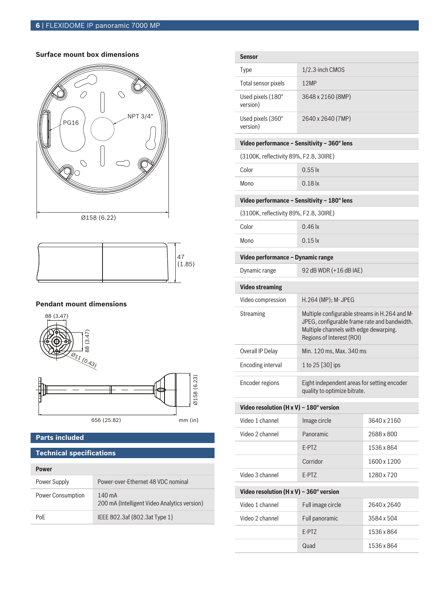#### **Surface mount box dimensions**





### **Pendant mount dimensions**



### **Parts included**

### **Technical specifications**

| Power                    |                                                                  |
|--------------------------|------------------------------------------------------------------|
| Power Supply             | Power-over-Ethernet 48 VDC nominal                               |
| <b>Power Consumption</b> | $140 \text{ mA}$<br>200 mA (Intelligent Video Analytics version) |
| PoF                      | IEEE 802.3af (802.3at Type 1)                                    |

| <b>Sensor</b>                               |                                                                                                                                                                      |             |
|---------------------------------------------|----------------------------------------------------------------------------------------------------------------------------------------------------------------------|-------------|
| <b>Type</b>                                 | 1/2.3-inch CMOS                                                                                                                                                      |             |
| Total sensor pixels                         | 12MP                                                                                                                                                                 |             |
| Used pixels (180°<br>version)               | 3648 x 2160 (8MP)                                                                                                                                                    |             |
| Used pixels (360°<br>version)               | 2640 x 2640 (7MP)                                                                                                                                                    |             |
| Video performance - Sensitivity - 360° lens |                                                                                                                                                                      |             |
| (3100K, reflectivity 89%, F2.8, 30IRE)      |                                                                                                                                                                      |             |
| Color                                       | $0.55$ $\mathsf{k}$                                                                                                                                                  |             |
| Mono                                        | $0.18$ $\mathsf{k}$                                                                                                                                                  |             |
| Video performance - Sensitivity - 180° lens |                                                                                                                                                                      |             |
| (3100K, reflectivity 89%, F2.8, 30IRE)      |                                                                                                                                                                      |             |
| Color                                       | $0.46$ $\mathsf{k}$                                                                                                                                                  |             |
| Mono                                        | $0.15 \text{ k}$                                                                                                                                                     |             |
| Video performance - Dynamic range           |                                                                                                                                                                      |             |
| Dynamic range                               | 92 dB WDR (+16 dB IAE)                                                                                                                                               |             |
| <b>Video streaming</b>                      |                                                                                                                                                                      |             |
| Video compression                           | H.264 (MP); M- JPEG                                                                                                                                                  |             |
| <b>Streaming</b>                            | Multiple configurable streams in H.264 and M-<br>JPEG, configurable frame rate and bandwidth.<br>Multiple channels with edge dewarping.<br>Regions of Interest (ROI) |             |
| Overall IP Delay                            | Min. 120 ms, Max. 340 ms                                                                                                                                             |             |
| Encoding interval                           | 1 to 25 [30] ips                                                                                                                                                     |             |
| Encoder regions                             | Eight independent areas for setting encoder<br>quality to optimize bitrate.                                                                                          |             |
| Video resolution (H x V) - 180° version     |                                                                                                                                                                      |             |
| Video 1 channel                             | Image circle                                                                                                                                                         | 3640 x 2160 |
| Video 2 channel                             | Panoramic                                                                                                                                                            | 2688 x 800  |
|                                             | E-PTZ                                                                                                                                                                | 1536 x 864  |
|                                             | Corridor                                                                                                                                                             | 1600 x 1200 |
| Video 3 channel                             | E-PTZ                                                                                                                                                                | 1280 x 720  |
| Video resolution (H x V) - 360° version     |                                                                                                                                                                      |             |
| Video 1 channel                             | Full image circle                                                                                                                                                    | 2640 x 2640 |
| Video 2 channel                             | Full panoramic                                                                                                                                                       | 3584 x 504  |
|                                             | E-PTZ                                                                                                                                                                | 1536 x 864  |
|                                             | Quad                                                                                                                                                                 | 1536 x 864  |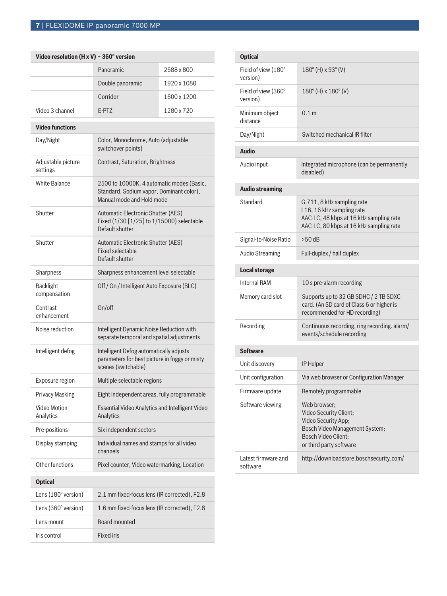| Video resolution (H x V) - 360 $^{\circ}$ version |                                                                                                                    |             |
|---------------------------------------------------|--------------------------------------------------------------------------------------------------------------------|-------------|
|                                                   | Panoramic                                                                                                          | 2688 x 800  |
|                                                   | Double panoramic                                                                                                   | 1920 x 1080 |
|                                                   | Corridor                                                                                                           | 1600 x 1200 |
| Video 3 channel                                   | E-PTZ                                                                                                              | 1280 x 720  |
| <b>Video functions</b>                            |                                                                                                                    |             |
| Day/Night                                         | Color, Monochrome, Auto (adjustable<br>switchover points)                                                          |             |
| Adjustable picture<br>settings                    | Contrast, Saturation, Brightness                                                                                   |             |
| <b>White Balance</b>                              | 2500 to 10000K, 4 automatic modes (Basic,<br>Standard, Sodium vapor, Dominant color),<br>Manual mode and Hold mode |             |
| Shutter                                           | Automatic Electronic Shutter (AES)<br>Fixed (1/30 [1/25] to 1/15000) selectable<br>Default shutter                 |             |
| Shutter                                           | Automatic Electronic Shutter (AES)<br>Fixed selectable<br>Default shutter                                          |             |
| Sharpness                                         | Sharpness enhancement level selectable                                                                             |             |
| <b>Backlight</b><br>compensation                  | Off / On / Intelligent Auto Exposure (BLC)                                                                         |             |
| Contrast<br>enhancement                           | On/off                                                                                                             |             |
| Noise reduction                                   | Intelligent Dynamic Noise Reduction with<br>separate temporal and spatial adjustments                              |             |
| Intelligent defog                                 | Intelligent Defog automatically adjusts<br>parameters for best picture in foggy or misty<br>scenes (switchable)    |             |
| Exposure region                                   | Multiple selectable regions                                                                                        |             |
| <b>Privacy Masking</b>                            | Eight independent areas, fully programmable                                                                        |             |
| Video Motion<br>Analytics                         | <b>Essential Video Analytics and Intelligent Video</b><br>Analytics                                                |             |
| Pre-positions                                     | Six independent sectors                                                                                            |             |
| Display stamping                                  | Individual names and stamps for all video<br>channels                                                              |             |
| Other functions                                   | Pixel counter, Video watermarking, Location                                                                        |             |
| <b>Optical</b>                                    |                                                                                                                    |             |
| Lens (180° version)                               | 2.1 mm fixed-focus lens (IR corrected), F2.8                                                                       |             |
| Lens (360° version)                               | 1.6 mm fixed-focus lens (IR corrected), F2.8                                                                       |             |
| Lens mount                                        | Board mounted                                                                                                      |             |
| Iris control                                      | <b>Fixed iris</b>                                                                                                  |             |

| <b>Optical</b>                  |                                                                                                                                                          |
|---------------------------------|----------------------------------------------------------------------------------------------------------------------------------------------------------|
| Field of view (180°<br>version) | 180° (H) x 93° (V)                                                                                                                                       |
| Field of view (360°<br>version) | 180° (H) x 180° (V)                                                                                                                                      |
| Minimum object<br>distance      | 0.1 <sub>m</sub>                                                                                                                                         |
| Day/Night                       | Switched mechanical IR filter                                                                                                                            |
| <b>Audio</b>                    |                                                                                                                                                          |
| Audio input                     | Integrated microphone (can be permanently<br>disabled)                                                                                                   |
| <b>Audio streaming</b>          |                                                                                                                                                          |
| Standard                        | G.711, 8 kHz sampling rate<br>L16, 16 kHz sampling rate<br>AAC-LC, 48 kbps at 16 kHz sampling rate<br>AAC-LC, 80 kbps at 16 kHz sampling rate            |
| Signal-to-Noise Ratio           | $>50$ dB                                                                                                                                                 |
| <b>Audio Streaming</b>          | Full-duplex / half duplex                                                                                                                                |
|                                 |                                                                                                                                                          |
| <b>Local storage</b>            |                                                                                                                                                          |
| <b>Internal RAM</b>             | 10 s pre-alarm recording                                                                                                                                 |
| Memory card slot                | Supports up to 32 GB SDHC / 2 TB SDXC<br>card. (An SD card of Class 6 or higher is<br>recommended for HD recording)                                      |
| Recording                       | Continuous recording, ring recording. alarm/<br>events/schedule recording                                                                                |
| <b>Software</b>                 |                                                                                                                                                          |
| Unit discovery                  | <b>IP Helper</b>                                                                                                                                         |
| Unit configuration              | Via web browser or Configuration Manager                                                                                                                 |
| Firmware update                 | Remotely programmable                                                                                                                                    |
| Software viewing                | Web browser;<br>Video Security Client;<br>Video Security App;<br>Bosch Video Management System;<br><b>Bosch Video Client:</b><br>or third party software |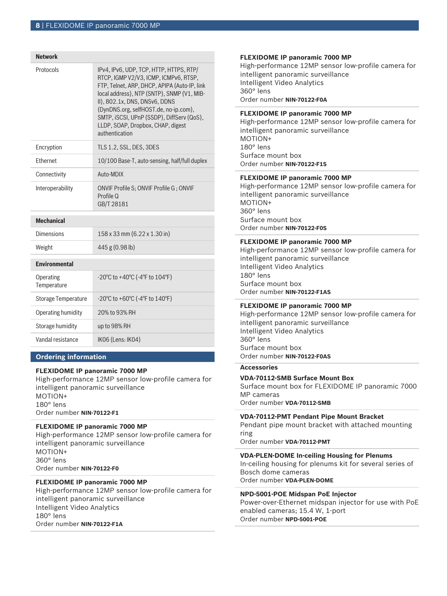| <b>Network</b>             |                                                                                                                                                                                                                                                                                                                                                              |
|----------------------------|--------------------------------------------------------------------------------------------------------------------------------------------------------------------------------------------------------------------------------------------------------------------------------------------------------------------------------------------------------------|
| Protocols                  | IPv4, IPv6, UDP, TCP, HTTP, HTTPS, RTP/<br>RTCP, IGMP V2/V3, ICMP, ICMPv6, RTSP,<br>FTP, Telnet, ARP, DHCP, APIPA (Auto-IP, link<br>local address), NTP (SNTP), SNMP (V1, MIB-<br>II), 802.1x, DNS, DNSv6, DDNS<br>(DynDNS.org, selfHOST.de, no-ip.com),<br>SMTP, iSCSI, UPnP (SSDP), DiffServ (QoS),<br>LLDP, SOAP, Dropbox, CHAP, digest<br>authentication |
| Encryption                 | TLS 1.2, SSL, DES, 3DES                                                                                                                                                                                                                                                                                                                                      |
| <b>Fthernet</b>            | 10/100 Base-T, auto-sensing, half/full duplex                                                                                                                                                                                                                                                                                                                |
| Connectivity               | Auto-MDIX                                                                                                                                                                                                                                                                                                                                                    |
| Interoperability           | ONVIF Profile S; ONVIF Profile G; ONVIF<br>Profile Q<br>GB/T 28181                                                                                                                                                                                                                                                                                           |
| <b>Mechanical</b>          |                                                                                                                                                                                                                                                                                                                                                              |
| <b>Dimensions</b>          | 158 x 33 mm (6.22 x 1.30 in)                                                                                                                                                                                                                                                                                                                                 |
| Weight                     | 445 g (0.98 lb)                                                                                                                                                                                                                                                                                                                                              |
| <b>Environmental</b>       |                                                                                                                                                                                                                                                                                                                                                              |
| Operating<br>Temperature   | -20°C to +40°C (-4°F to $104$ °F)                                                                                                                                                                                                                                                                                                                            |
| <b>Storage Temperature</b> | $-20^{\circ}$ C to $+60^{\circ}$ C ( $-4^{\circ}$ F to $140^{\circ}$ F)                                                                                                                                                                                                                                                                                      |
| Operating humidity         | 20% to 93% RH                                                                                                                                                                                                                                                                                                                                                |
| Storage humidity           | up to 98% RH                                                                                                                                                                                                                                                                                                                                                 |
| Vandal resistance          | IK06 (Lens: IK04)                                                                                                                                                                                                                                                                                                                                            |
|                            |                                                                                                                                                                                                                                                                                                                                                              |

#### **Ordering information**

#### **FLEXIDOME IP panoramic 7000 MP**

High-performance 12MP sensor low-profile camera for intelligent panoramic surveillance MOTION+ 180° lens Order number **NIN-70122-F1**

#### **FLEXIDOME IP panoramic 7000 MP**

High-performance 12MP sensor low-profile camera for intelligent panoramic surveillance MOTION+ 360° lens Order number **NIN-70122-F0**

#### **FLEXIDOME IP panoramic 7000 MP**

High-performance 12MP sensor low-profile camera for intelligent panoramic surveillance Intelligent Video Analytics 180° lens Order number **NIN-70122-F1A**

#### **FLEXIDOME IP panoramic 7000 MP**

High-performance 12MP sensor low-profile camera for intelligent panoramic surveillance Intelligent Video Analytics 360° lens Order number **NIN-70122-F0A**

#### **FLEXIDOME IP panoramic 7000 MP**

High-performance 12MP sensor low-profile camera for intelligent panoramic surveillance MOTION+ 180° lens Surface mount box Order number **NIN-70122-F1S**

#### **FLEXIDOME IP panoramic 7000 MP**

High-performance 12MP sensor low-profile camera for intelligent panoramic surveillance MOTION+ 360° lens Surface mount box Order number **NIN-70122-F0S**

#### **FLEXIDOME IP panoramic 7000 MP**

High-performance 12MP sensor low-profile camera for intelligent panoramic surveillance Intelligent Video Analytics 180° lens Surface mount box Order number **NIN-70122-F1AS**

#### **FLEXIDOME IP panoramic 7000 MP**

High-performance 12MP sensor low-profile camera for intelligent panoramic surveillance Intelligent Video Analytics 360° lens Surface mount box Order number **NIN-70122-F0AS**

#### **Accessories**

#### **VDA-70112-SMB Surface Mount Box**

Surface mount box for FLEXIDOME IP panoramic 7000 MP cameras Order number **VDA-70112-SMB**

#### **VDA-70112-PMT Pendant Pipe Mount Bracket**

Pendant pipe mount bracket with attached mounting ring

Order number **VDA-70112-PMT**

#### **VDA-PLEN-DOME In-ceiling Housing for Plenums**

In-ceiling housing for plenums kit for several series of Bosch dome cameras Order number **VDA-PLEN-DOME**

#### **NPD-5001-POE Midspan PoE Injector**

Power-over-Ethernet midspan injector for use with PoE enabled cameras; 15.4 W, 1-port Order number **NPD-5001-POE**